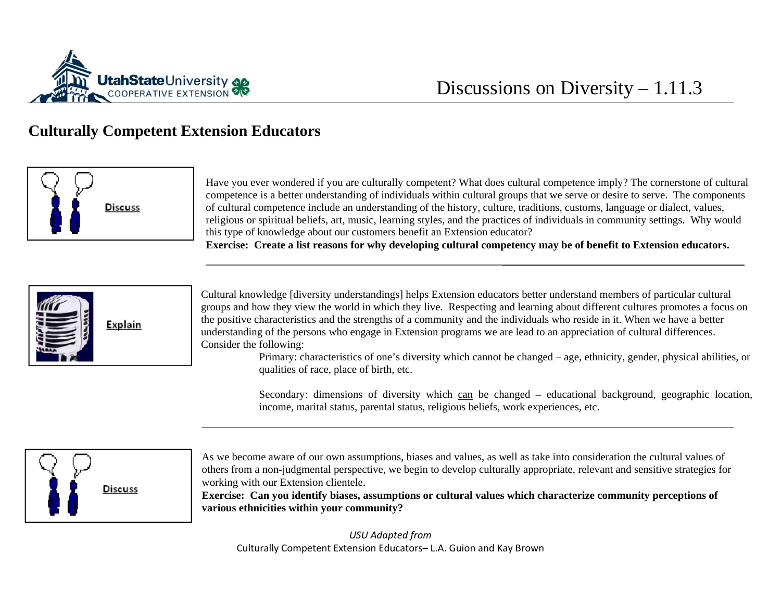

## **Culturally Competent Extension Educators**



Have you ever wondered if you are culturally competent? What does cultural competence imply? The cornerstone of cultural competence is a better understanding of individuals within cultural groups that we serve or desire to serve. The components of cultural competence include an understanding of the history, culture, traditions, customs, language or dialect, values, religious or spiritual beliefs, art, music, learning styles, and the practices of individuals in community settings. Why would this type of knowledge about our customers benefit an Extension educator?

**Exercise: Create a list reasons for why developing cultural competency may be of benefit to Extension educators.** 



Cultural knowledge [diversity understandings] helps Extension educators better understand members of particular cultural groups and how they view the world in which they live. Respecting and learning about different cultures promotes a focus on the positive characteristics and the strengths of a community and the individuals who reside in it. When we have a better understanding of the persons who engage in Extension programs we are lead to an appreciation of cultural differences. Consider the following:

> Primary: characteristics of one's diversity which cannot be changed – age, ethnicity, gender, physical abilities, o r qualities of race, place of birth, etc.

Secondary: dimensions of diversity which can be changed – educational background, geographic location, income, marital status, parental status, religious beliefs, work experiences, etc.



As we become aware of our own assumptions, biases and values, as well as take into consideration the cultural values of others from a non-judgmental perspective, we begin to develop culturally appropriate, relevant and sensitive strategies for working with our Extension clientele.

**Exercise: Can you identify biases, assumptions or cultural values which characterize community perceptions of various ethnicities within your community?** 

*USU Adapted from* Culturally Competent Extension Educators– L.A. Guion and Kay Brown